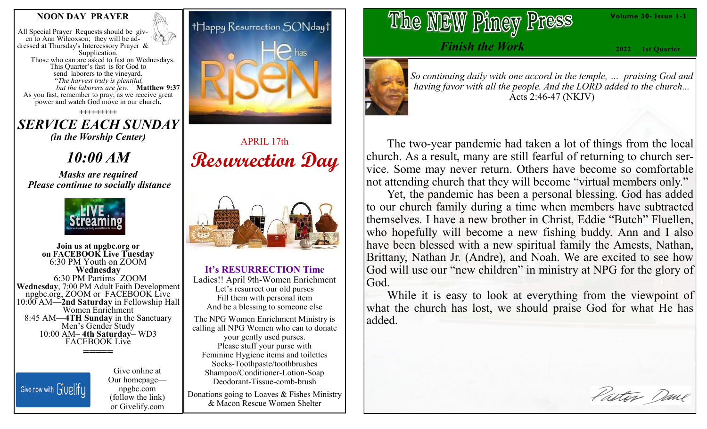### **NOON DAY PRAYER**

All Special Prayer Requests should be given to Ann Wilcoxson; they will be addressed at Thursday's Intercessory Prayer & Supplication. Those who can are asked to fast on Wednesdays. This Quarter's fast is for God to send laborers to the vineyard. "*The harvest truly is plentiful, but the laborers are few.* **Matthew 9:37**  As you fast, remember to pray; as we receive great power and watch God move in our church**.**

**+++++++++** *SERVICE EACH SUNDAY (in the Worship Center)*

*10:00 AM*

*Masks are required Please continue to socially distance*



**Join us at npgbc.org or on FACEBOOK Live Tuesday** 6:30 PM Youth on ZOOM **Wednesday** 6:30 PM Partims ZOOM **Wednesday**, 7:00 PM Adult Faith Development npgbc.org, ZOOM or FACEBOOK Live 10:00 AM—**2nd Saturday** in Fellowship Hall Women Enrichment 8:45 AM—**4TH Sunday** in the Sanctuary Men's Gender Study 10:00 AM– **4th Saturday**– WD3 FACEBOOK Live **=====**

Give now with Givelify

Give online at Our homepage npgbc.com (follow the link) or Givelify.com



APRIL 17th **Resurrection Day**



**It's RESURRECTION Time**

Ladies!! April 9th-Women Enrichment Let's resurrect our old purses Fill them with personal item And be a blessing to someone else The NPG Women Enrichment Ministry is calling all NPG Women who can to donate your gently used purses. Please stuff your purse with Feminine Hygiene items and toilettes Socks-Toothpaste/toothbrushes Shampoo/Conditioner-Lotion-Soap Deodorant-Tissue-comb-brush

Donations going to Loaves & Fishes Ministry & Macon Rescue Women Shelter

The NEW Piney Press

*Finish the Work*

**2022 1st Quarter**

**Volume 30- Issue 1-3**



*So continuing daily with one accord in the temple, … praising God and having favor with all the people. And the LORD added to the church...* Acts 2:46-47 (NKJV)

 The two-year pandemic had taken a lot of things from the local church. As a result, many are still fearful of returning to church service. Some may never return. Others have become so comfortable not attending church that they will become "virtual members only."

 Yet, the pandemic has been a personal blessing. God has added to our church family during a time when members have subtracted themselves. I have a new brother in Christ, Eddie "Butch" Fluellen, who hopefully will become a new fishing buddy. Ann and I also have been blessed with a new spiritual family the Amests, Nathan, Brittany, Nathan Jr. (Andre), and Noah. We are excited to see how God will use our "new children" in ministry at NPG for the glory of God.

While it is easy to look at everything from the viewpoint of what the church has lost, we should praise God for what He has added.

Pastor Dane